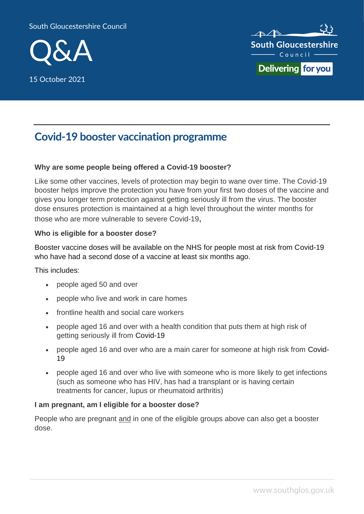#### South Gloucestershire Council



15 October 2021



# **Covid-19 booster vaccination programme**

#### **Why are some people being offered a Covid-19 booster?**

Like some other vaccines, levels of protection may begin to wane over time. The Covid-19 booster helps improve the protection you have from your first two doses of the vaccine and gives you longer term protection against getting seriously ill from the virus. The booster dose ensures protection is maintained at a high level throughout the winter months for those who are more vulnerable to severe Covid-19,

#### **Who is eligible for a booster dose?**

Booster vaccine doses will be available on the NHS for people most at risk from Covid-19 who have had a second dose of a vaccine at least six months ago.

This includes:

- people aged 50 and over
- people who live and work in care homes
- frontline health and social care workers
- people aged 16 and over with a health condition that puts them at high risk of getting seriously ill from Covid-19
- people aged 16 and over who are a main carer for someone at high risk from Covid-19
- people aged 16 and over who live with someone who is more likely to get infections (such as someone who has HIV, has had a transplant or is having certain treatments for cancer, lupus or rheumatoid arthritis)

#### **I am pregnant, am I eligible for a booster dose?**

People who are pregnant and in one of the eligible groups above can also get a booster dose.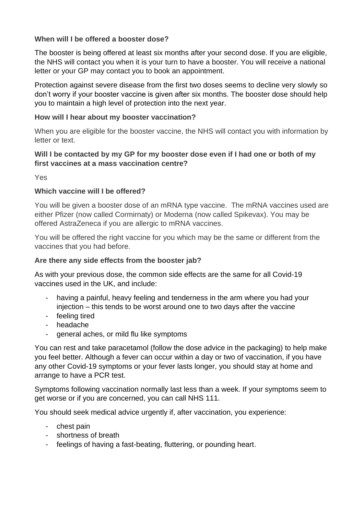## **When will I be offered a booster dose?**

The booster is being offered at least six months after your second dose. If you are eligible, the NHS will contact you when it is your turn to have a booster. You will receive a national letter or your GP may contact you to book an appointment.

Protection against severe disease from the first two doses seems to decline very slowly so don't worry if your booster vaccine is given after six months. The booster dose should help you to maintain a high level of protection into the next year.

## **How will I hear about my booster vaccination?**

When you are eligible for the booster vaccine, the NHS will contact you with information by letter or text.

# **Will I be contacted by my GP for my booster dose even if I had one or both of my first vaccines at a mass vaccination centre?**

Yes

# **Which vaccine will I be offered?**

You will be given a booster dose of an mRNA type vaccine. The mRNA vaccines used are either Pfizer (now called Cormirnaty) or Moderna (now called Spikevax). You may be offered AstraZeneca if you are allergic to mRNA vaccines.

You will be offered the right vaccine for you which may be the same or different from the vaccines that you had before.

# **Are there any side effects from the booster jab?**

As with your previous dose, the common side effects are the same for all Covid-19 vaccines used in the UK, and include:

- having a painful, heavy feeling and tenderness in the arm where you had your injection – this tends to be worst around one to two days after the vaccine
- feeling tired
- headache
- general aches, or mild flu like symptoms

You can rest and take paracetamol (follow the dose advice in the packaging) to help make you feel better. Although a fever can occur within a day or two of vaccination, if you have any other Covid-19 symptoms or your fever lasts longer, you should stay at home and arrange to have a PCR test.

Symptoms following vaccination normally last less than a week. If your symptoms seem to get worse or if you are concerned, you can call NHS 111.

You should seek medical advice urgently if, after vaccination, you experience:

- chest pain
- shortness of breath
- feelings of having a fast-beating, fluttering, or pounding heart.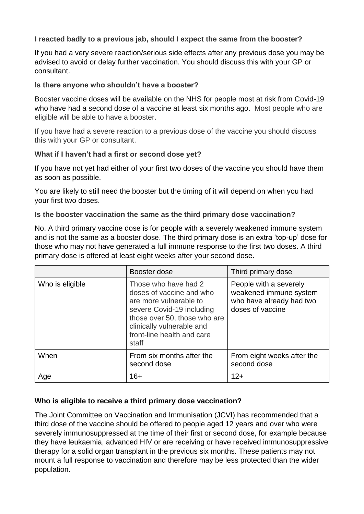# **I reacted badly to a previous jab, should I expect the same from the booster?**

If you had a very severe reaction/serious side effects after any previous dose you may be advised to avoid or delay further vaccination. You should discuss this with your GP or consultant.

#### **Is there anyone who shouldn't have a booster?**

Booster vaccine doses will be available on the NHS for people most at risk from Covid-19 who have had a second dose of a vaccine at least six months ago. Most people who are eligible will be able to have a booster.

If you have had a severe reaction to a previous dose of the vaccine you should discuss this with your GP or consultant.

#### **What if I haven't had a first or second dose yet?**

If you have not yet had either of your first two doses of the vaccine you should have them as soon as possible.

You are likely to still need the booster but the timing of it will depend on when you had your first two doses.

#### **Is the booster vaccination the same as the third primary dose vaccination?**

No. A third primary vaccine dose is for people with a severely weakened immune system and is not the same as a booster dose. The third primary dose is an extra 'top-up' dose for those who may not have generated a full immune response to the first two doses. A third primary dose is offered at least eight weeks after your second dose.

|                 | Booster dose                                                                                                                                                                                                | Third primary dose                                                                               |
|-----------------|-------------------------------------------------------------------------------------------------------------------------------------------------------------------------------------------------------------|--------------------------------------------------------------------------------------------------|
| Who is eligible | Those who have had 2<br>doses of vaccine and who<br>are more vulnerable to<br>severe Covid-19 including<br>those over 50, those who are<br>clinically vulnerable and<br>front-line health and care<br>staff | People with a severely<br>weakened immune system<br>who have already had two<br>doses of vaccine |
| When            | From six months after the<br>second dose                                                                                                                                                                    | From eight weeks after the<br>second dose                                                        |
| Age             | 16+                                                                                                                                                                                                         | $12+$                                                                                            |

## **Who is eligible to receive a third primary dose vaccination?**

The Joint Committee on Vaccination and Immunisation (JCVI) has recommended that a third dose of the vaccine should be offered to people aged 12 years and over who were severely immunosuppressed at the time of their first or second dose, for example because they have leukaemia, advanced HIV or are receiving or have received immunosuppressive therapy for a solid organ transplant in the previous six months. These patients may not mount a full response to vaccination and therefore may be less protected than the wider population.